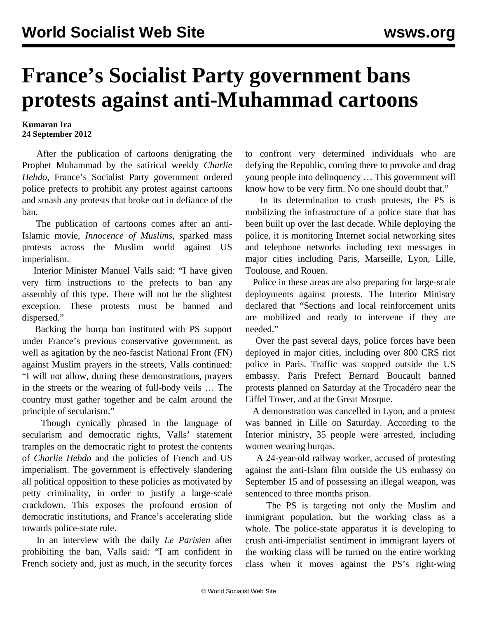## **France's Socialist Party government bans protests against anti-Muhammad cartoons**

## **Kumaran Ira 24 September 2012**

 After the publication of cartoons denigrating the Prophet Muhammad by the satirical weekly *Charlie Hebdo*, France's Socialist Party government ordered police prefects to prohibit any protest against cartoons and smash any protests that broke out in defiance of the ban.

 The publication of cartoons comes after an anti-Islamic movie, *Innocence of Muslims*, sparked mass protests across the Muslim world against US imperialism.

 Interior Minister Manuel Valls said: "I have given very firm instructions to the prefects to ban any assembly of this type. There will not be the slightest exception. These protests must be banned and dispersed."

 Backing the burqa ban instituted with PS support under France's previous conservative government, as well as agitation by the neo-fascist National Front (FN) against Muslim prayers in the streets, Valls continued: "I will not allow, during these demonstrations, prayers in the streets or the wearing of full-body veils … The country must gather together and be calm around the principle of secularism."

 Though cynically phrased in the language of secularism and democratic rights, Valls' statement tramples on the democratic right to protest the contents of *Charlie Hebdo* and the policies of French and US imperialism. The government is effectively slandering all political opposition to these policies as motivated by petty criminality, in order to justify a large-scale crackdown. This exposes the profound erosion of democratic institutions, and France's accelerating slide towards police-state rule.

 In an interview with the daily *Le Parisien* after prohibiting the ban, Valls said: "I am confident in French society and, just as much, in the security forces to confront very determined individuals who are defying the Republic, coming there to provoke and drag young people into delinquency … This government will know how to be very firm. No one should doubt that."

 In its determination to crush protests, the PS is mobilizing the infrastructure of a police state that has been built up over the last decade. While deploying the police, it is monitoring Internet social networking sites and telephone networks including text messages in major cities including Paris, Marseille, Lyon, Lille, Toulouse, and Rouen.

 Police in these areas are also preparing for large-scale deployments against protests. The Interior Ministry declared that "Sections and local reinforcement units are mobilized and ready to intervene if they are needed."

 Over the past several days, police forces have been deployed in major cities, including over 800 CRS riot police in Paris. Traffic was stopped outside the US embassy. Paris Prefect Bernard Boucault banned protests planned on Saturday at the Trocadéro near the Eiffel Tower, and at the Great Mosque.

 A demonstration was cancelled in Lyon, and a protest was banned in Lille on Saturday. According to the Interior ministry, 35 people were arrested, including women wearing burqas.

 A 24-year-old railway worker, accused of protesting against the anti-Islam film outside the US embassy on September 15 and of possessing an illegal weapon, was sentenced to three months prison.

 The PS is targeting not only the Muslim and immigrant population, but the working class as a whole. The police-state apparatus it is developing to crush anti-imperialist sentiment in immigrant layers of the working class will be turned on the entire working class when it moves against the PS's right-wing